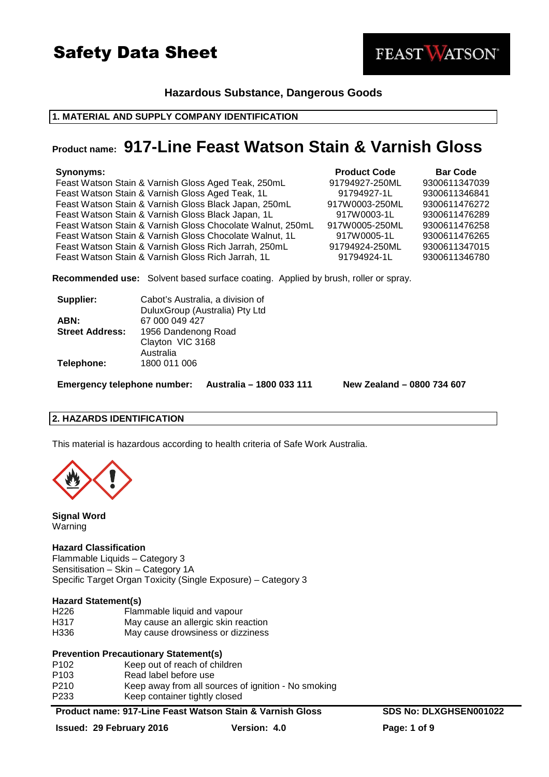

# **Hazardous Substance, Dangerous Goods**

# **1. MATERIAL AND SUPPLY COMPANY IDENTIFICATION**

# **Product name: 917-Line Feast Watson Stain & Varnish Gloss**

| Synonyms:                                                  | <b>Product Code</b> | <b>Bar Code</b> |
|------------------------------------------------------------|---------------------|-----------------|
| Feast Watson Stain & Varnish Gloss Aged Teak, 250mL        | 91794927-250ML      | 9300611347039   |
| Feast Watson Stain & Varnish Gloss Aged Teak, 1L           | 91794927-1L         | 9300611346841   |
| Feast Watson Stain & Varnish Gloss Black Japan, 250mL      | 917W0003-250ML      | 9300611476272   |
| Feast Watson Stain & Varnish Gloss Black Japan, 1L         | 917W0003-1L         | 9300611476289   |
| Feast Watson Stain & Varnish Gloss Chocolate Walnut, 250mL | 917W0005-250ML      | 9300611476258   |
| Feast Watson Stain & Varnish Gloss Chocolate Walnut, 1L    | 917W0005-1L         | 9300611476265   |
| Feast Watson Stain & Varnish Gloss Rich Jarrah, 250mL      | 91794924-250ML      | 9300611347015   |
| Feast Watson Stain & Varnish Gloss Rich Jarrah, 1L         | 91794924-1L         | 9300611346780   |
|                                                            |                     |                 |

**Recommended use:** Solvent based surface coating. Applied by brush, roller or spray.

| Supplier:              | Cabot's Australia, a division of |
|------------------------|----------------------------------|
|                        | DuluxGroup (Australia) Pty Ltd   |
| ABN:                   | 67 000 049 427                   |
| <b>Street Address:</b> | 1956 Dandenong Road              |
|                        | Clayton VIC 3168                 |
|                        | Australia                        |
| Telephone:             | 1800 011 006                     |
|                        |                                  |

**Emergency telephone number: Australia – 1800 033 111 New Zealand – 0800 734 607**

FEAST WATSON®

# **2. HAZARDS IDENTIFICATION**

This material is hazardous according to health criteria of Safe Work Australia.



**Signal Word**  Warning

# **Hazard Classification**

Flammable Liquids – Category 3 Sensitisation – Skin – Category 1A Specific Target Organ Toxicity (Single Exposure) – Category 3

# **Hazard Statement(s)**

| H <sub>226</sub> | Flammable liquid and vapour         |
|------------------|-------------------------------------|
| H317             | May cause an allergic skin reaction |
| H336             | May cause drowsiness or dizziness   |

# **Prevention Precautionary Statement(s)**

| P <sub>102</sub> | Keep out of reach of children                       |
|------------------|-----------------------------------------------------|
| P <sub>103</sub> | Read label before use                               |
| P210             | Keep away from all sources of ignition - No smoking |
| P233             | Keep container tightly closed                       |

**Product name: 917-Line Feast Watson Stain & Varnish Gloss SDS No: DLXGHSEN001022**

**Issued: 29 February 2016 Version: 4.0 Page: 1 of 9**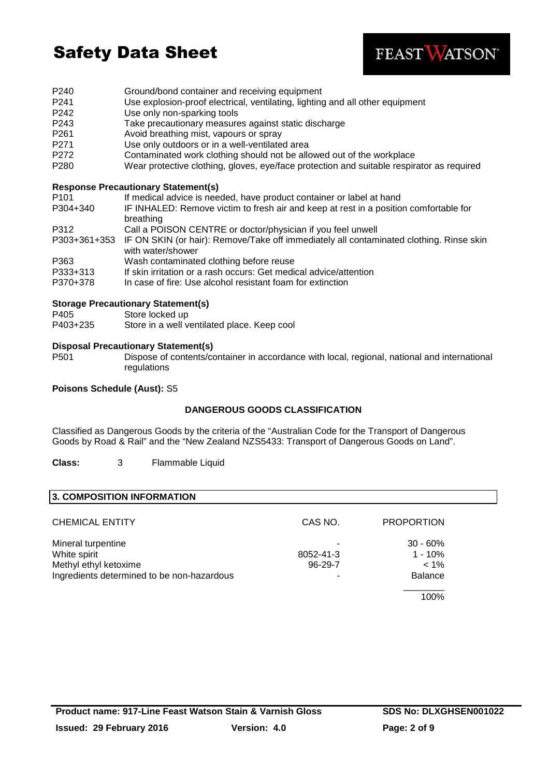

- P240 Ground/bond container and receiving equipment
- P241 Use explosion-proof electrical, ventilating, lighting and all other equipment
- P242 Use only non-sparking tools
- P243 Take precautionary measures against static discharge
- P261 Avoid breathing mist, vapours or spray
- P271 Use only outdoors or in a well-ventilated area
- P272 Contaminated work clothing should not be allowed out of the workplace
- P280 Wear protective clothing, gloves, eye/face protection and suitable respirator as required

# **Response Precautionary Statement(s)**

| P <sub>101</sub>     | If medical advice is needed, have product container or label at hand                                                            |
|----------------------|---------------------------------------------------------------------------------------------------------------------------------|
| P304+340             | IF INHALED: Remove victim to fresh air and keep at rest in a position comfortable for<br>breathing                              |
| P312                 | Call a POISON CENTRE or doctor/physician if you feel unwell                                                                     |
|                      | P303+361+353 IF ON SKIN (or hair): Remove/Take off immediately all contaminated clothing. Rinse skin<br>with water/shower       |
| P363                 | Wash contaminated clothing before reuse                                                                                         |
| P333+313<br>P370+378 | If skin irritation or a rash occurs: Get medical advice/attention<br>In case of fire: Use alcohol resistant foam for extinction |

# **Storage Precautionary Statement(s)**

- P405 Store locked up
- P403+235 Store in a well ventilated place. Keep cool

### **Disposal Precautionary Statement(s)**

P501 Dispose of contents/container in accordance with local, regional, national and international regulations

### **Poisons Schedule (Aust):** S5

# **DANGEROUS GOODS CLASSIFICATION**

Classified as Dangerous Goods by the criteria of the "Australian Code for the Transport of Dangerous Goods by Road & Rail" and the "New Zealand NZS5433: Transport of Dangerous Goods on Land".

**Class:** 3 Flammable Liquid

# **3. COMPOSITION INFORMATION**

| <b>CHEMICAL ENTITY</b>                     | CAS NO.       | <b>PROPORTION</b> |
|--------------------------------------------|---------------|-------------------|
| Mineral turpentine                         |               | $30 - 60%$        |
| White spirit                               | 8052-41-3     | $1 - 10\%$        |
| Methyl ethyl ketoxime                      | $96 - 29 - 7$ | $< 1\%$           |
| Ingredients determined to be non-hazardous |               | <b>Balance</b>    |
|                                            |               | 100%              |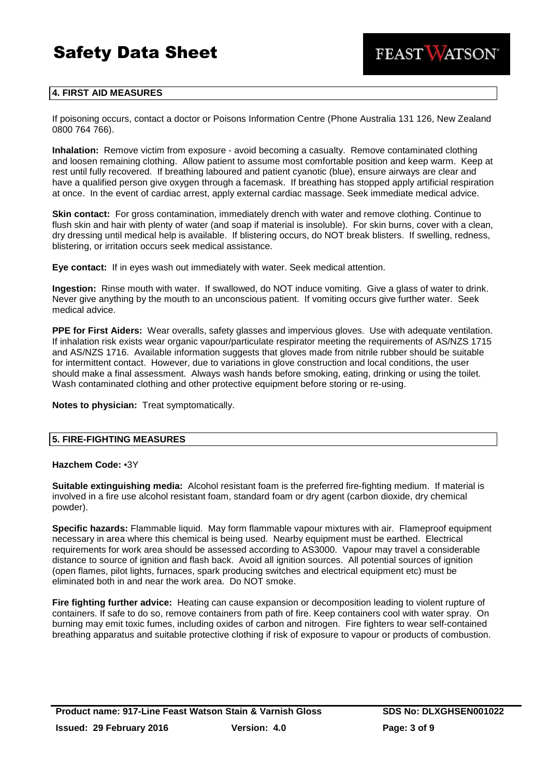

# **4. FIRST AID MEASURES**

If poisoning occurs, contact a doctor or Poisons Information Centre (Phone Australia 131 126, New Zealand 0800 764 766).

**Inhalation:** Remove victim from exposure - avoid becoming a casualty. Remove contaminated clothing and loosen remaining clothing. Allow patient to assume most comfortable position and keep warm. Keep at rest until fully recovered. If breathing laboured and patient cyanotic (blue), ensure airways are clear and have a qualified person give oxygen through a facemask. If breathing has stopped apply artificial respiration at once. In the event of cardiac arrest, apply external cardiac massage. Seek immediate medical advice.

**Skin contact:** For gross contamination, immediately drench with water and remove clothing. Continue to flush skin and hair with plenty of water (and soap if material is insoluble). For skin burns, cover with a clean, dry dressing until medical help is available. If blistering occurs, do NOT break blisters. If swelling, redness, blistering, or irritation occurs seek medical assistance.

**Eye contact:** If in eyes wash out immediately with water. Seek medical attention.

**Ingestion:** Rinse mouth with water. If swallowed, do NOT induce vomiting. Give a glass of water to drink. Never give anything by the mouth to an unconscious patient. If vomiting occurs give further water. Seek medical advice.

**PPE for First Aiders:** Wear overalls, safety glasses and impervious gloves. Use with adequate ventilation. If inhalation risk exists wear organic vapour/particulate respirator meeting the requirements of AS/NZS 1715 and AS/NZS 1716. Available information suggests that gloves made from nitrile rubber should be suitable for intermittent contact. However, due to variations in glove construction and local conditions, the user should make a final assessment. Always wash hands before smoking, eating, drinking or using the toilet. Wash contaminated clothing and other protective equipment before storing or re-using.

**Notes to physician:** Treat symptomatically.

# **5. FIRE-FIGHTING MEASURES**

### **Hazchem Code:** •3Y

**Suitable extinguishing media:** Alcohol resistant foam is the preferred fire-fighting medium. If material is involved in a fire use alcohol resistant foam, standard foam or dry agent (carbon dioxide, dry chemical powder).

**Specific hazards:** Flammable liquid. May form flammable vapour mixtures with air. Flameproof equipment necessary in area where this chemical is being used. Nearby equipment must be earthed. Electrical requirements for work area should be assessed according to AS3000. Vapour may travel a considerable distance to source of ignition and flash back. Avoid all ignition sources. All potential sources of ignition (open flames, pilot lights, furnaces, spark producing switches and electrical equipment etc) must be eliminated both in and near the work area. Do NOT smoke.

**Fire fighting further advice:** Heating can cause expansion or decomposition leading to violent rupture of containers. If safe to do so, remove containers from path of fire. Keep containers cool with water spray. On burning may emit toxic fumes, including oxides of carbon and nitrogen. Fire fighters to wear self-contained breathing apparatus and suitable protective clothing if risk of exposure to vapour or products of combustion.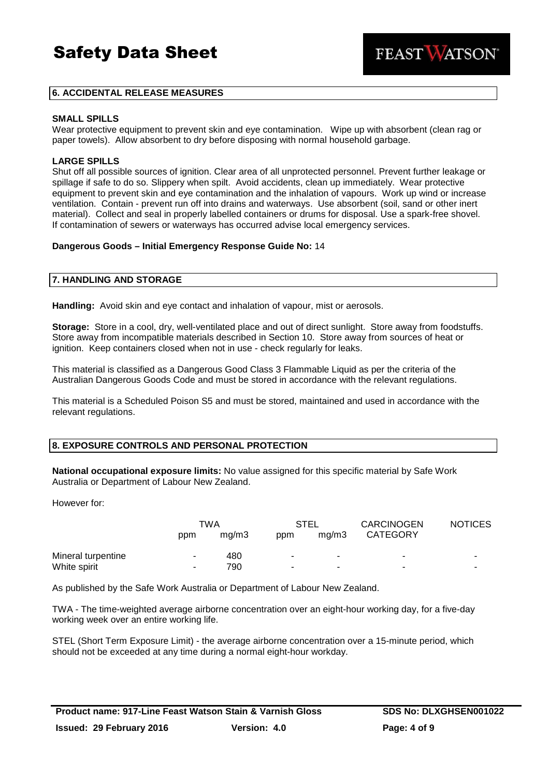**FEAST WATSON** 

# **6. ACCIDENTAL RELEASE MEASURES**

### **SMALL SPILLS**

Wear protective equipment to prevent skin and eve contamination. Wipe up with absorbent (clean rag or paper towels). Allow absorbent to dry before disposing with normal household garbage.

### **LARGE SPILLS**

Shut off all possible sources of ignition. Clear area of all unprotected personnel. Prevent further leakage or spillage if safe to do so. Slippery when spilt. Avoid accidents, clean up immediately. Wear protective equipment to prevent skin and eye contamination and the inhalation of vapours. Work up wind or increase ventilation. Contain - prevent run off into drains and waterways. Use absorbent (soil, sand or other inert material). Collect and seal in properly labelled containers or drums for disposal. Use a spark-free shovel. If contamination of sewers or waterways has occurred advise local emergency services.

### **Dangerous Goods – Initial Emergency Response Guide No:** 14

### **7. HANDLING AND STORAGE**

**Handling:** Avoid skin and eye contact and inhalation of vapour, mist or aerosols.

**Storage:** Store in a cool, dry, well-ventilated place and out of direct sunlight. Store away from foodstuffs. Store away from incompatible materials described in Section 10. Store away from sources of heat or ignition. Keep containers closed when not in use - check regularly for leaks.

This material is classified as a Dangerous Good Class 3 Flammable Liquid as per the criteria of the Australian Dangerous Goods Code and must be stored in accordance with the relevant regulations.

This material is a Scheduled Poison S5 and must be stored, maintained and used in accordance with the relevant regulations.

### **8. EXPOSURE CONTROLS AND PERSONAL PROTECTION**

**National occupational exposure limits:** No value assigned for this specific material by Safe Work Australia or Department of Labour New Zealand.

However for:

|                    |                | TWA   |                          | STEL  | <b>CARCINOGEN</b> | <b>NOTICES</b> |
|--------------------|----------------|-------|--------------------------|-------|-------------------|----------------|
|                    | ppm            | ma/m3 | ppm                      | ma/m3 | <b>CATEGORY</b>   |                |
| Mineral turpentine | $\sim$         | 480   | $\overline{\phantom{a}}$ | ۰     | ۰                 |                |
| White spirit       | $\blacksquare$ | 790   | ۰                        | ٠     | ۰                 |                |

As published by the Safe Work Australia or Department of Labour New Zealand.

TWA - The time-weighted average airborne concentration over an eight-hour working day, for a five-day working week over an entire working life.

STEL (Short Term Exposure Limit) - the average airborne concentration over a 15-minute period, which should not be exceeded at any time during a normal eight-hour workday.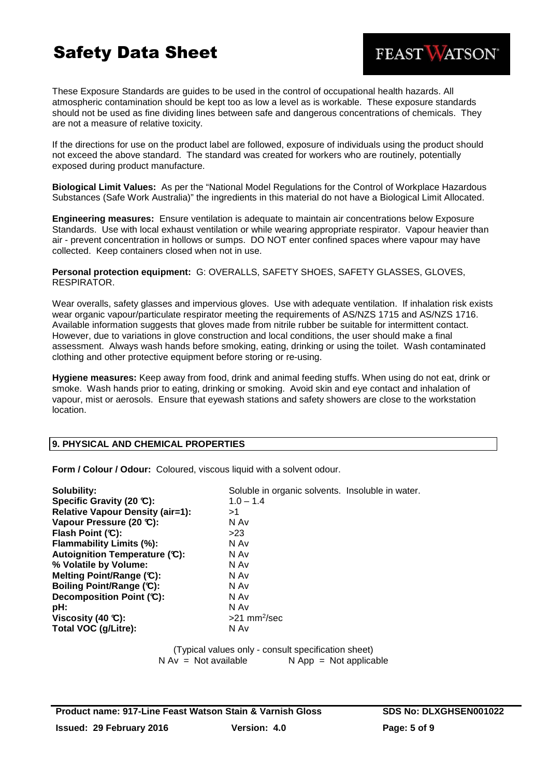These Exposure Standards are guides to be used in the control of occupational health hazards. All atmospheric contamination should be kept too as low a level as is workable. These exposure standards should not be used as fine dividing lines between safe and dangerous concentrations of chemicals. They are not a measure of relative toxicity.

If the directions for use on the product label are followed, exposure of individuals using the product should not exceed the above standard. The standard was created for workers who are routinely, potentially exposed during product manufacture.

**Biological Limit Values:** As per the "National Model Regulations for the Control of Workplace Hazardous Substances (Safe Work Australia)" the ingredients in this material do not have a Biological Limit Allocated.

**Engineering measures:** Ensure ventilation is adequate to maintain air concentrations below Exposure Standards. Use with local exhaust ventilation or while wearing appropriate respirator. Vapour heavier than air - prevent concentration in hollows or sumps. DO NOT enter confined spaces where vapour may have collected. Keep containers closed when not in use.

**Personal protection equipment:** G: OVERALLS, SAFETY SHOES, SAFETY GLASSES, GLOVES, RESPIRATOR.

Wear overalls, safety glasses and impervious gloves. Use with adequate ventilation. If inhalation risk exists wear organic vapour/particulate respirator meeting the requirements of AS/NZS 1715 and AS/NZS 1716. Available information suggests that gloves made from nitrile rubber be suitable for intermittent contact. However, due to variations in glove construction and local conditions, the user should make a final assessment. Always wash hands before smoking, eating, drinking or using the toilet. Wash contaminated clothing and other protective equipment before storing or re-using.

**Hygiene measures:** Keep away from food, drink and animal feeding stuffs. When using do not eat, drink or smoke. Wash hands prior to eating, drinking or smoking. Avoid skin and eye contact and inhalation of vapour, mist or aerosols. Ensure that eyewash stations and safety showers are close to the workstation location.

# **9. PHYSICAL AND CHEMICAL PROPERTIES**

**Form / Colour / Odour:** Coloured, viscous liquid with a solvent odour.

| Solubility:                             | Soluble in organic solvents. Insoluble in water. |
|-----------------------------------------|--------------------------------------------------|
| Specific Gravity (20 °C):               | $1.0 - 1.4$                                      |
| <b>Relative Vapour Density (air=1):</b> | >1                                               |
| Vapour Pressure (20 °C):                | N Av                                             |
| Flash Point $(C)$ :                     | >23                                              |
| <b>Flammability Limits (%):</b>         | N Av                                             |
| Autoignition Temperature (C):           | N Av                                             |
| % Volatile by Volume:                   | N Av                                             |
| Melting Point/Range (C):                | N Av                                             |
| Boiling Point/Range (C):                | N Av                                             |
| Decomposition Point (°C):               | N Av                                             |
| pH:                                     | N Av                                             |
| Viscosity (40 $\mathbb{C}$ ):           | $>21$ mm <sup>2</sup> /sec                       |
| Total VOC (g/Litre):                    | N Av                                             |

(Typical values only - consult specification sheet)  $N Av = Not available$   $N App = Not applicable$ 

FEAST WATSON®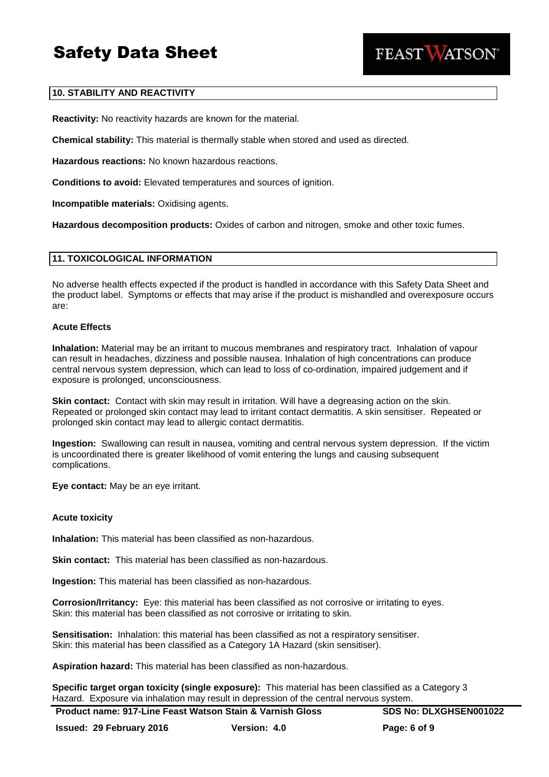

# **10. STABILITY AND REACTIVITY**

**Reactivity:** No reactivity hazards are known for the material.

**Chemical stability:** This material is thermally stable when stored and used as directed.

**Hazardous reactions:** No known hazardous reactions.

**Conditions to avoid:** Elevated temperatures and sources of ignition.

**Incompatible materials:** Oxidising agents.

**Hazardous decomposition products:** Oxides of carbon and nitrogen, smoke and other toxic fumes.

### **11. TOXICOLOGICAL INFORMATION**

No adverse health effects expected if the product is handled in accordance with this Safety Data Sheet and the product label. Symptoms or effects that may arise if the product is mishandled and overexposure occurs are:

#### **Acute Effects**

**Inhalation:** Material may be an irritant to mucous membranes and respiratory tract. Inhalation of vapour can result in headaches, dizziness and possible nausea. Inhalation of high concentrations can produce central nervous system depression, which can lead to loss of co-ordination, impaired judgement and if exposure is prolonged, unconsciousness.

**Skin contact:** Contact with skin may result in irritation. Will have a degreasing action on the skin. Repeated or prolonged skin contact may lead to irritant contact dermatitis. A skin sensitiser. Repeated or prolonged skin contact may lead to allergic contact dermatitis.

**Ingestion:** Swallowing can result in nausea, vomiting and central nervous system depression. If the victim is uncoordinated there is greater likelihood of vomit entering the lungs and causing subsequent complications.

**Eye contact:** May be an eye irritant.

### **Acute toxicity**

**Inhalation:** This material has been classified as non-hazardous.

**Skin contact:** This material has been classified as non-hazardous.

**Ingestion:** This material has been classified as non-hazardous.

**Corrosion/Irritancy:** Eye: this material has been classified as not corrosive or irritating to eyes. Skin: this material has been classified as not corrosive or irritating to skin.

**Sensitisation:** Inhalation: this material has been classified as not a respiratory sensitiser. Skin: this material has been classified as a Category 1A Hazard (skin sensitiser).

**Aspiration hazard:** This material has been classified as non-hazardous.

**Specific target organ toxicity (single exposure):** This material has been classified as a Category 3 Hazard. Exposure via inhalation may result in depression of the central nervous system.

**Issued: 29 February 2016 Version: 4.0 Page: 6 of 9**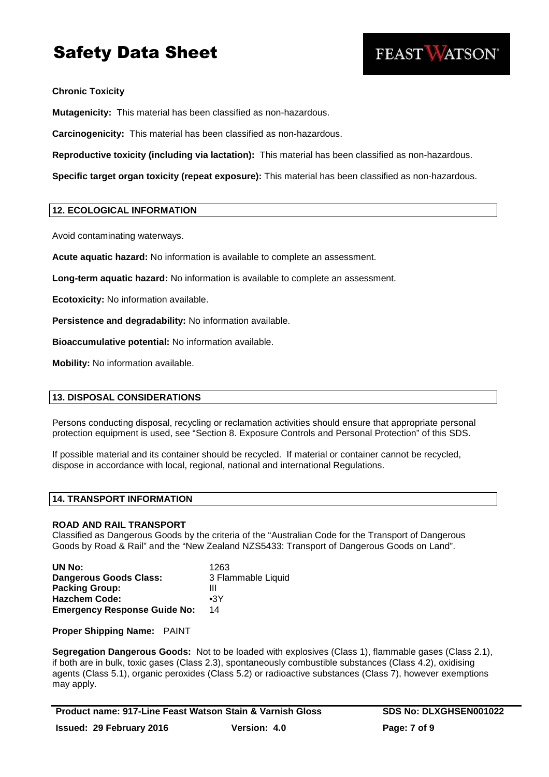

# **Chronic Toxicity**

**Mutagenicity:** This material has been classified as non-hazardous.

**Carcinogenicity:** This material has been classified as non-hazardous.

**Reproductive toxicity (including via lactation):** This material has been classified as non-hazardous.

**Specific target organ toxicity (repeat exposure):** This material has been classified as non-hazardous.

# **12. ECOLOGICAL INFORMATION**

Avoid contaminating waterways.

**Acute aquatic hazard:** No information is available to complete an assessment.

**Long-term aquatic hazard:** No information is available to complete an assessment.

**Ecotoxicity:** No information available.

**Persistence and degradability:** No information available.

**Bioaccumulative potential:** No information available.

**Mobility:** No information available.

### **13. DISPOSAL CONSIDERATIONS**

Persons conducting disposal, recycling or reclamation activities should ensure that appropriate personal protection equipment is used, see "Section 8. Exposure Controls and Personal Protection" of this SDS.

If possible material and its container should be recycled. If material or container cannot be recycled, dispose in accordance with local, regional, national and international Regulations.

# **14. TRANSPORT INFORMATION**

### **ROAD AND RAIL TRANSPORT**

Classified as Dangerous Goods by the criteria of the "Australian Code for the Transport of Dangerous Goods by Road & Rail" and the "New Zealand NZS5433: Transport of Dangerous Goods on Land".

| UN No:                              | 1263               |
|-------------------------------------|--------------------|
| <b>Dangerous Goods Class:</b>       | 3 Flammable Liquid |
| <b>Packing Group:</b>               | Ш                  |
| <b>Hazchem Code:</b>                | $\bullet$ 3Y       |
| <b>Emergency Response Guide No:</b> | 14                 |

**Proper Shipping Name:** PAINT

**Segregation Dangerous Goods:** Not to be loaded with explosives (Class 1), flammable gases (Class 2.1), if both are in bulk, toxic gases (Class 2.3), spontaneously combustible substances (Class 4.2), oxidising agents (Class 5.1), organic peroxides (Class 5.2) or radioactive substances (Class 7), however exemptions may apply.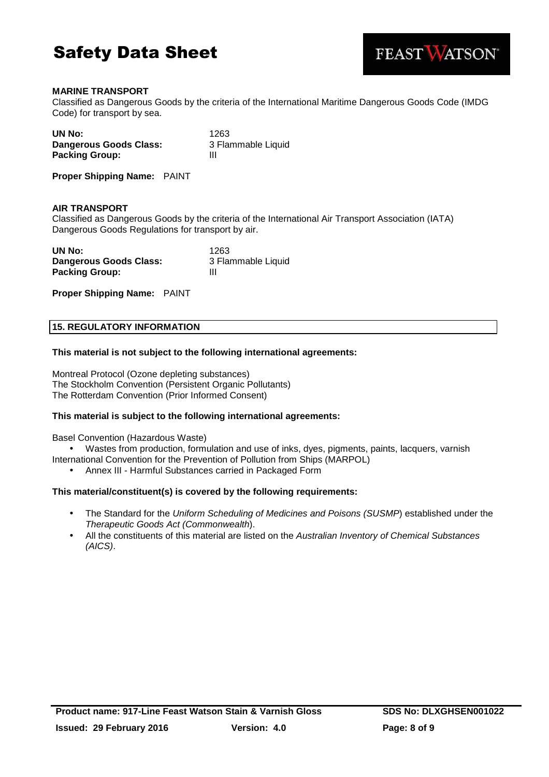



# **MARINE TRANSPORT**

Classified as Dangerous Goods by the criteria of the International Maritime Dangerous Goods Code (IMDG Code) for transport by sea.

| UN No:                 | 1263               |
|------------------------|--------------------|
| Dangerous Goods Class: | 3 Flammable Liquid |
| <b>Packing Group:</b>  | Ш                  |

**Proper Shipping Name:** PAINT

### **AIR TRANSPORT**

Classified as Dangerous Goods by the criteria of the International Air Transport Association (IATA) Dangerous Goods Regulations for transport by air.

| UN No:                 | 1263               |
|------------------------|--------------------|
| Dangerous Goods Class: | 3 Flammable Liquid |
| <b>Packing Group:</b>  | Ш                  |

**Proper Shipping Name:** PAINT

# **15. REGULATORY INFORMATION**

### **This material is not subject to the following international agreements:**

Montreal Protocol (Ozone depleting substances) The Stockholm Convention (Persistent Organic Pollutants) The Rotterdam Convention (Prior Informed Consent)

### **This material is subject to the following international agreements:**

Basel Convention (Hazardous Waste)

• Wastes from production, formulation and use of inks, dyes, pigments, paints, lacquers, varnish International Convention for the Prevention of Pollution from Ships (MARPOL)

• Annex III - Harmful Substances carried in Packaged Form

### **This material/constituent(s) is covered by the following requirements:**

- The Standard for the Uniform Scheduling of Medicines and Poisons (SUSMP) established under the Therapeutic Goods Act (Commonwealth).
- All the constituents of this material are listed on the Australian Inventory of Chemical Substances (AICS).